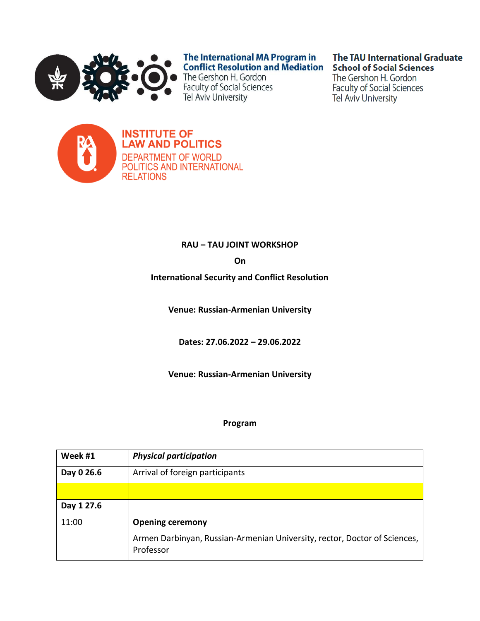

The International MA Program in **Conflict Resolution and Mediation** 

The Gershon H. Gordon **Faculty of Social Sciences** Tel Aviv University

# **The TAU International Graduate School of Social Sciences**

The Gershon H. Gordon **Faculty of Social Sciences Tel Aviv University** 



**INSTITUTE OF LAW AND POLITICS DEPARTMENT OF WORLD** POLITICS AND INTERNATIONAL **RELATIONS** 

# **RAU – TAU JOINT WORKSHOP**

**On**

**International Security and Conflict Resolution**

**Venue: Russian-Armenian University**

**Dates: 27.06.2022 – 29.06.2022**

**Venue: Russian-Armenian University**

#### **Program**

| Week #1    | <b>Physical participation</b>                                                          |
|------------|----------------------------------------------------------------------------------------|
| Day 0 26.6 | Arrival of foreign participants                                                        |
|            |                                                                                        |
| Day 1 27.6 |                                                                                        |
| 11:00      | <b>Opening ceremony</b>                                                                |
|            | Armen Darbinyan, Russian-Armenian University, rector, Doctor of Sciences,<br>Professor |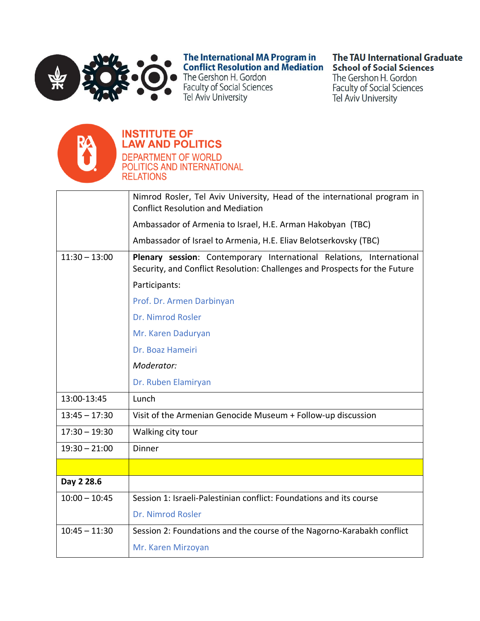

The International MA Program in **Conflict Resolution and Mediation** 

The Gershon H. Gordon **Faculty of Social Sciences** Tel Aviv University

# **The TAU International Graduate School of Social Sciences**

The Gershon H. Gordon **Faculty of Social Sciences Tel Aviv University** 



#### **INSTITUTE OF LAW AND POLITICS DEPARTMENT OF WORLD** POLITICS AND INTERNATIONAL

**RELATIONS** 

Nimrod Rosler, Tel Aviv University, Head of the international program in **Conflict Resolution and Mediation** Ambassador of Armenia to Israel, H.E. Arman Hakobyan (TBC) Ambassador of Israel to Armenia, H.E. Eliav Belotserkovsky (TBC)  $11:30 - 13:00$ Plenary session: Contemporary International Relations, International Security, and Conflict Resolution: Challenges and Prospects for the Future Participants: Prof. Dr. Armen Darbinyan Dr. Nimrod Rosler Mr. Karen Daduryan Dr. Boaz Hameiri Moderator: Dr. Ruben Elamiryan 13:00-13:45 Lunch  $13:45 - 17:30$ Visit of the Armenian Genocide Museum + Follow-up discussion  $17:30 - 19:30$ Walking city tour  $19:30 - 21:00$ Dinner Day 2 28.6  $10:00 - 10:45$ Session 1: Israeli-Palestinian conflict: Foundations and its course Dr. Nimrod Rosler  $10:45 - 11:30$ Session 2: Foundations and the course of the Nagorno-Karabakh conflict Mr. Karen Mirzoyan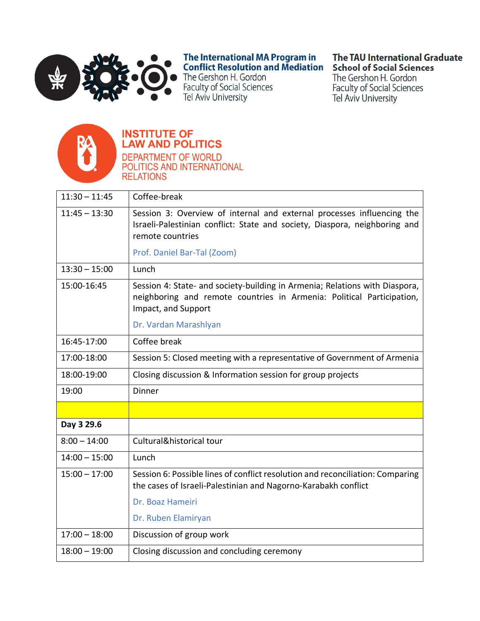

The International MA Program in<br>Conflict Resolution and Mediation

The Gershon H. Gordon Faculty of Social Sciences Tel Aviv University

# **The TAU International Graduate School of Social Sciences**

The Gershon H. Gordon **Faculty of Social Sciences** Tel Aviv University



# **INSTITUTE OF<br>LAW AND POLITICS**



| $11:30 - 11:45$ | Coffee-break                                                                                                                                                                |
|-----------------|-----------------------------------------------------------------------------------------------------------------------------------------------------------------------------|
| $11:45 - 13:30$ | Session 3: Overview of internal and external processes influencing the<br>Israeli-Palestinian conflict: State and society, Diaspora, neighboring and<br>remote countries    |
|                 | Prof. Daniel Bar-Tal (Zoom)                                                                                                                                                 |
| $13:30 - 15:00$ | Lunch                                                                                                                                                                       |
| 15:00-16:45     | Session 4: State- and society-building in Armenia; Relations with Diaspora,<br>neighboring and remote countries in Armenia: Political Participation,<br>Impact, and Support |
|                 | Dr. Vardan Marashlyan                                                                                                                                                       |
| 16:45-17:00     | Coffee break                                                                                                                                                                |
| 17:00-18:00     | Session 5: Closed meeting with a representative of Government of Armenia                                                                                                    |
| 18:00-19:00     | Closing discussion & Information session for group projects                                                                                                                 |
| 19:00           | Dinner                                                                                                                                                                      |
|                 |                                                                                                                                                                             |
| Day 3 29.6      |                                                                                                                                                                             |
| $8:00 - 14:00$  | Cultural&historical tour                                                                                                                                                    |
| $14:00 - 15:00$ | Lunch                                                                                                                                                                       |
| $15:00 - 17:00$ | Session 6: Possible lines of conflict resolution and reconciliation: Comparing<br>the cases of Israeli-Palestinian and Nagorno-Karabakh conflict                            |
|                 | Dr. Boaz Hameiri                                                                                                                                                            |
|                 | Dr. Ruben Elamiryan                                                                                                                                                         |
|                 |                                                                                                                                                                             |
| $17:00 - 18:00$ | Discussion of group work                                                                                                                                                    |